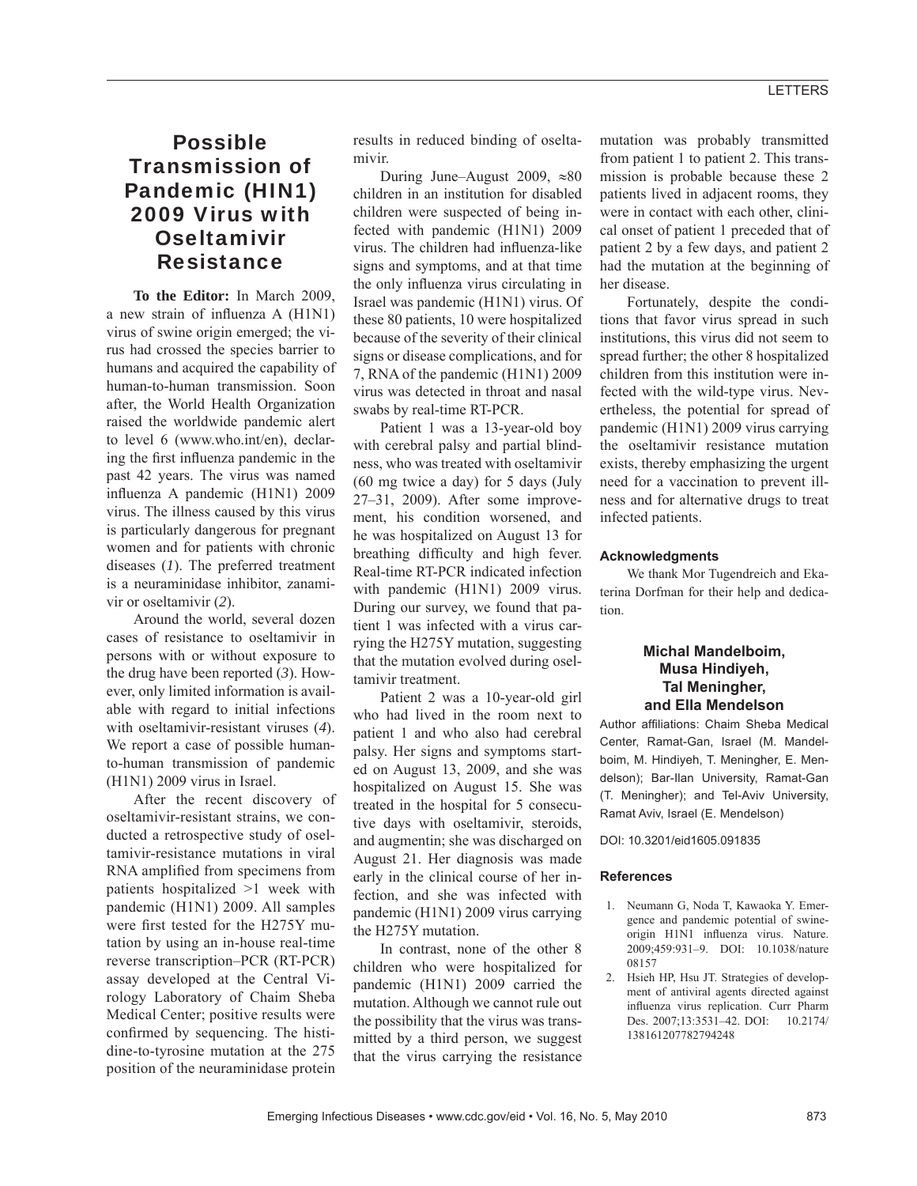## LETTERS

# Possible Transmission of Pandemic (HIN1) 2009 Virus with **Oseltamivir Resistance**

**To the Editor:** In March 2009, a new strain of influenza A (H1N1) virus of swine origin emerged; the virus had crossed the species barrier to humans and acquired the capability of human-to-human transmission. Soon after, the World Health Organization raised the worldwide pandemic alert to level 6 (www.who.int/en), declaring the first influenza pandemic in the past 42 years. The virus was named influenza A pandemic (H1N1) 2009 virus. The illness caused by this virus is particularly dangerous for pregnant women and for patients with chronic diseases (*1*). The preferred treatment is a neuraminidase inhibitor, zanamivir or oseltamivir (*2*).

Around the world, several dozen cases of resistance to oseltamivir in persons with or without exposure to the drug have been reported (*3*). However, only limited information is available with regard to initial infections with oseltamivir-resistant viruses (*4*). We report a case of possible humanto-human transmission of pandemic (H1N1) 2009 virus in Israel.

After the recent discovery of oseltamivir-resistant strains, we conducted a retrospective study of oseltamivir-resistance mutations in viral RNA amplified from specimens from patients hospitalized >1 week with pandemic (H1N1) 2009. All samples were first tested for the H275Y mutation by using an in-house real-time reverse transcription–PCR (RT-PCR) assay developed at the Central Virology Laboratory of Chaim Sheba Medical Center; positive results were confirmed by sequencing. The histidine-to-tyrosine mutation at the 275 position of the neuraminidase protein

results in reduced binding of oseltamivir.

During June–August 2009,  $\approx 80$ children in an institution for disabled children were suspected of being infected with pandemic (H1N1) 2009 virus. The children had influenza-like signs and symptoms, and at that time the only influenza virus circulating in Israel was pandemic (H1N1) virus. Of these 80 patients, 10 were hospitalized because of the severity of their clinical signs or disease complications, and for 7, RNA of the pandemic (H1N1) 2009 virus was detected in throat and nasal swabs by real-time RT-PCR.

Patient 1 was a 13-year-old boy with cerebral palsy and partial blindness, who was treated with oseltamivir (60 mg twice a day) for 5 days (July 27–31, 2009). After some improvement, his condition worsened, and he was hospitalized on August 13 for breathing difficulty and high fever. Real-time RT-PCR indicated infection with pandemic (H1N1) 2009 virus. During our survey, we found that patient 1 was infected with a virus carrying the H275Y mutation, suggesting that the mutation evolved during oseltamivir treatment.

Patient 2 was a 10-year-old girl who had lived in the room next to patient 1 and who also had cerebral palsy. Her signs and symptoms started on August 13, 2009, and she was hospitalized on August 15. She was treated in the hospital for 5 consecutive days with oseltamivir, steroids, and augmentin; she was discharged on August 21. Her diagnosis was made early in the clinical course of her infection, and she was infected with pandemic (H1N1) 2009 virus carrying the H275Y mutation.

In contrast, none of the other 8 children who were hospitalized for pandemic (H1N1) 2009 carried the mutation. Although we cannot rule out the possibility that the virus was transmitted by a third person, we suggest that the virus carrying the resistance mutation was probably transmitted from patient 1 to patient 2. This transmission is probable because these 2 patients lived in adjacent rooms, they were in contact with each other, clinical onset of patient 1 preceded that of patient 2 by a few days, and patient 2 had the mutation at the beginning of her disease.

Fortunately, despite the conditions that favor virus spread in such institutions, this virus did not seem to spread further; the other 8 hospitalized children from this institution were infected with the wild-type virus. Nevertheless, the potential for spread of pandemic (H1N1) 2009 virus carrying the oseltamivir resistance mutation exists, thereby emphasizing the urgent need for a vaccination to prevent illness and for alternative drugs to treat infected patients.

#### **Acknowledgments**

We thank Mor Tugendreich and Ekaterina Dorfman for their help and dedication.

### **Michal Mandelboim, Musa Hindiyeh, Tal Meningher, and Ella Mendelson**

Author affiliations: Chaim Sheba Medical Center, Ramat-Gan, Israel (M. Mandelboim, M. Hindiyeh, T. Meningher, E. Mendelson); Bar-Ilan University, Ramat-Gan (T. Meningher); and Tel-Aviv University, Ramat Aviv, Israel (E. Mendelson)

DOI: 10.3201/eid1605.091835

### **References**

- 1. Neumann G, Noda T, Kawaoka Y. Emergence and pandemic potential of swineorigin H1N1 influenza virus. Nature. 2009;459:931–9. DOI: 10.1038/nature 08157
- 2. Hsieh HP, Hsu JT. Strategies of development of antiviral agents directed against influenza virus replication. Curr Pharm Des. 2007;13:3531–42. DOI: 10.2174/ 138161207782794248